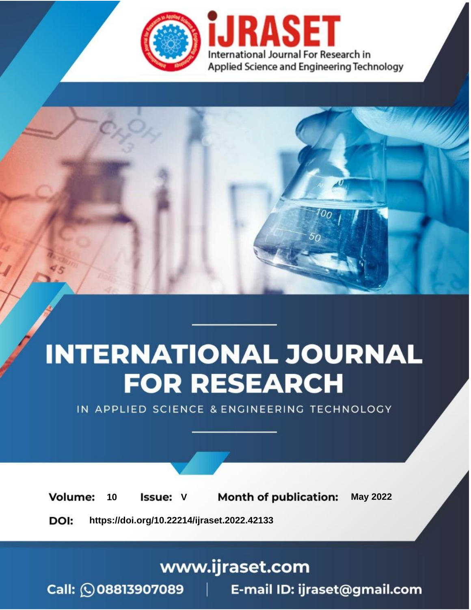

# **INTERNATIONAL JOURNAL FOR RESEARCH**

IN APPLIED SCIENCE & ENGINEERING TECHNOLOGY

Volume: **Month of publication: May 2022** 10 **Issue: V** 

DOI: https://doi.org/10.22214/ijraset.2022.42133

www.ijraset.com

Call: 008813907089 | E-mail ID: ijraset@gmail.com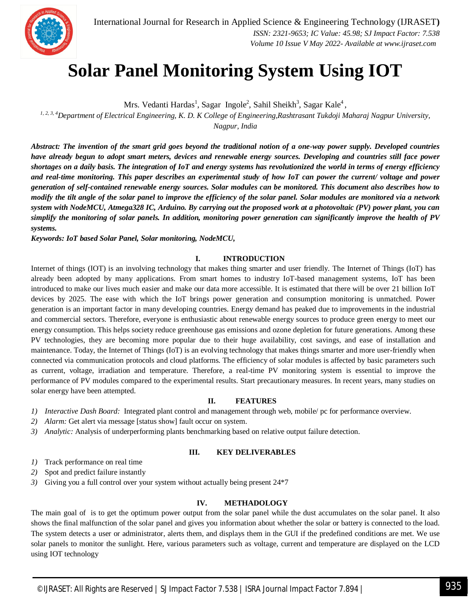

### **Solar Panel Monitoring System Using IOT**

Mrs. Vedanti Hardas<sup>1</sup>, Sagar Ingole<sup>2</sup>, Sahil Sheikh<sup>3</sup>, Sagar Kale<sup>4</sup>,

*1, 2, 3, <sup>4</sup>Department of Electrical Engineering, K. D. K College of Engineering,Rashtrasant Tukdoji Maharaj Nagpur University, Nagpur, India*

*Abstract: The invention of the smart grid goes beyond the traditional notion of a one-way power supply. Developed countries have already begun to adopt smart meters, devices and renewable energy sources. Developing and countries still face power shortages on a daily basis. The integration of IoT and energy systems has revolutionized the world in terms of energy efficiency and real-time monitoring. This paper describes an experimental study of how IoT can power the current/ voltage and power generation of self-contained renewable energy sources. Solar modules can be monitored. This document also describes how to modify the tilt angle of the solar panel to improve the efficiency of the solar panel. Solar modules are monitored via a network system with NodeMCU, Atmega328 IC, Arduino. By carrying out the proposed work at a photovoltaic (PV) power plant, you can simplify the monitoring of solar panels. In addition, monitoring power generation can significantly improve the health of PV systems.*

*Keywords: IoT based Solar Panel, Solar monitoring, NodeMCU,* 

#### **I. INTRODUCTION**

Internet of things (IOT) is an involving technology that makes thing smarter and user friendly. The Internet of Things (IoT) has already been adopted by many applications. From smart homes to industry IoT-based management systems, IoT has been introduced to make our lives much easier and make our data more accessible. It is estimated that there will be over 21 billion IoT devices by 2025. The ease with which the IoT brings power generation and consumption monitoring is unmatched. Power generation is an important factor in many developing countries. Energy demand has peaked due to improvements in the industrial and commercial sectors. Therefore, everyone is enthusiastic about renewable energy sources to produce green energy to meet our energy consumption. This helps society reduce greenhouse gas emissions and ozone depletion for future generations. Among these PV technologies, they are becoming more popular due to their huge availability, cost savings, and ease of installation and maintenance. Today, the Internet of Things (IoT) is an evolving technology that makes things smarter and more user-friendly when connected via communication protocols and cloud platforms. The efficiency of solar modules is affected by basic parameters such as current, voltage, irradiation and temperature. Therefore, a real-time PV monitoring system is essential to improve the performance of PV modules compared to the experimental results. Start precautionary measures. In recent years, many studies on solar energy have been attempted.

#### **II. FEATURES**

- *1) Interactive Dash Board:* Integrated plant control and management through web, mobile/ pc for performance overview.
- *2) Alarm:* Get alert via message [status show] fault occur on system.
- *3) Analytic:* Analysis of underperforming plants benchmarking based on relative output failure detection.

#### **III. KEY DELIVERABLES**

- *1)* Track performance on real time
- *2)* Spot and predict failure instantly
- *3)* Giving you a full control over your system without actually being present 24\*7

#### **IV. METHADOLOGY**

The main goal of is to get the optimum power output from the solar panel while the dust accumulates on the solar panel. It also shows the final malfunction of the solar panel and gives you information about whether the solar or battery is connected to the load. The system detects a user or administrator, alerts them, and displays them in the GUI if the predefined conditions are met. We use solar panels to monitor the sunlight. Here, various parameters such as voltage, current and temperature are displayed on the LCD using IOT technology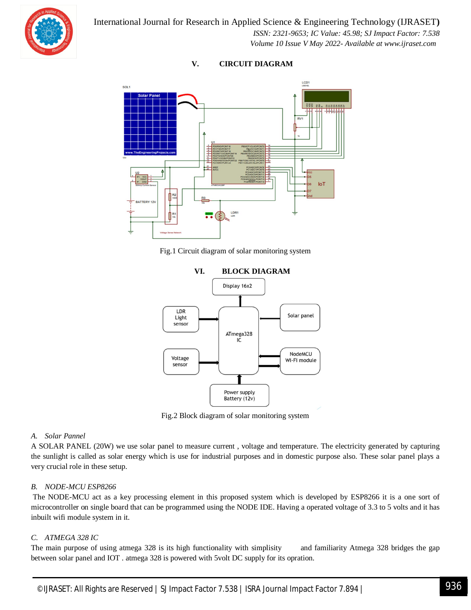



### **V. CIRCUIT DIAGRAM**

Fig.1 Circuit diagram of solar monitoring system



Fig.2 Block diagram of solar monitoring system

#### *A. Solar Pannel*

A SOLAR PANEL (20W) we use solar panel to measure current , voltage and temperature. The electricity generated by capturing the sunlight is called as solar energy which is use for industrial purposes and in domestic purpose also. These solar panel plays a very crucial role in these setup.

#### *B. NODE-MCU ESP8266*

The NODE-MCU act as a key processing element in this proposed system which is developed by ESP8266 it is a one sort of microcontroller on single board that can be programmed using the NODE IDE. Having a operated voltage of 3.3 to 5 volts and it has inbuilt wifi module system in it.

#### *C. ATMEGA 328 IC*

The main purpose of using atmega 328 is its high functionality with simplisity and familiarity Atmega 328 bridges the gap between solar panel and IOT . atmega 328 is powered with 5volt DC supply for its opration.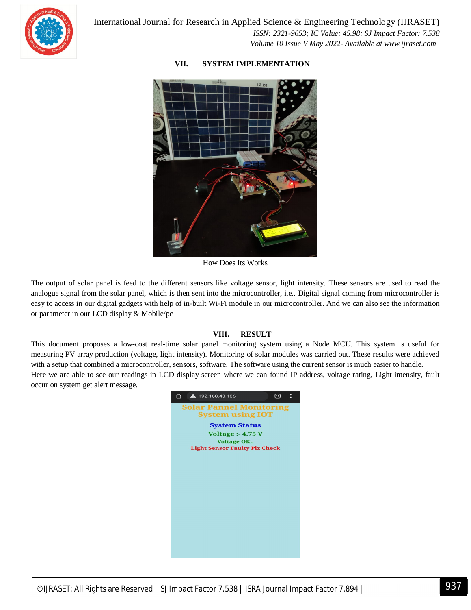

 *Volume 10 Issue V May 2022- Available at www.ijraset.com*

#### **VII. SYSTEM IMPLEMENTATION**

How Does Its Works

The output of solar panel is feed to the different sensors like voltage sensor, light intensity. These sensors are used to read the analogue signal from the solar panel, which is then sent into the microcontroller, i.e.. Digital signal coming from microcontroller is easy to access in our digital gadgets with help of in-built Wi-Fi module in our microcontroller. And we can also see the information or parameter in our LCD display & Mobile/pc

#### **VIII. RESULT**

This document proposes a low-cost real-time solar panel monitoring system using a Node MCU. This system is useful for measuring PV array production (voltage, light intensity). Monitoring of solar modules was carried out. These results were achieved with a setup that combined a microcontroller, sensors, software. The software using the current sensor is much easier to handle. Here we are able to see our readings in LCD display screen where we can found IP address, voltage rating, Light intensity, fault occur on system get alert message.

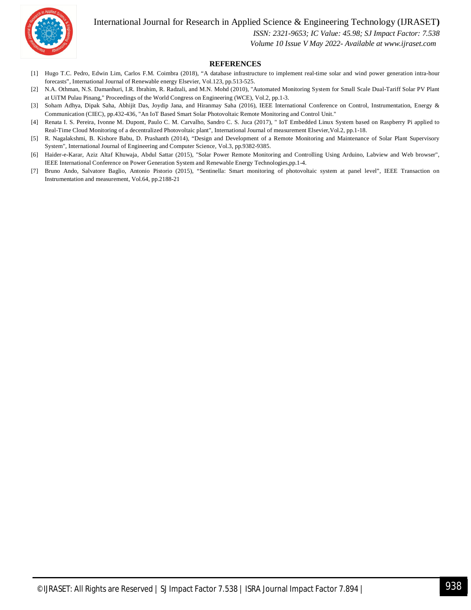International Journal for Research in Applied Science & Engineering Technology (IJRASET**)**



 *ISSN: 2321-9653; IC Value: 45.98; SJ Impact Factor: 7.538*

 *Volume 10 Issue V May 2022- Available at www.ijraset.com*

#### **REFERENCES**

- [1] Hugo T.C. Pedro, Edwin Lim, Carlos F.M. Coimbra (2018), "A database infrastructure to implement real-time solar and wind power generation intra-hour forecasts", International Journal of Renewable energy Elsevier, Vol.123, pp.513-525.
- [2] N.A. Othman, N.S. Damanhuri, I.R. Ibrahim, R. Radzali, and M.N. Mohd (2010), "Automated Monitoring System for Small Scale Dual-Tariff Solar PV Plant at UiTM Pulau Pinang," Proceedings of the World Congress on Engineering (WCE), Vol.2, pp.1-3.
- [3] Soham Adhya, Dipak Saha, Abhijit Das, Joydip Jana, and Hiranmay Saha (2016), IEEE International Conference on Control, Instrumentation, Energy & Communication (CIEC), pp.432-436, "An IoT Based Smart Solar Photovoltaic Remote Monitoring and Control Unit."
- [4] Renata I. S. Pereira, Ivonne M. Dupont, Paulo C. M. Carvalho, Sandro C. S. Juca (2017), " IoT Embedded Linux System based on Raspberry Pi applied to Real-Time Cloud Monitoring of a decentralized Photovoltaic plant", International Journal of measurement Elsevier,Vol.2, pp.1-18.
- [5] R. Nagalakshmi, B. Kishore Babu, D. Prashanth (2014), "Design and Development of a Remote Monitoring and Maintenance of Solar Plant Supervisory System", International Journal of Engineering and Computer Science, Vol.3, pp.9382-9385.
- [6] Haider-e-Karar, Aziz Altaf Khuwaja, Abdul Sattar (2015), "Solar Power Remote Monitoring and Controlling Using Arduino, Labview and Web browser", IEEE International Conference on Power Generation System and Renewable Energy Technologies,pp.1-4.
- [7] Bruno Ando, Salvatore Baglio, Antonio Pistorio (2015), "Sentinella: Smart monitoring of photovoltaic system at panel level", IEEE Transaction on Instrumentation and measurement, Vol.64, pp.2188-21